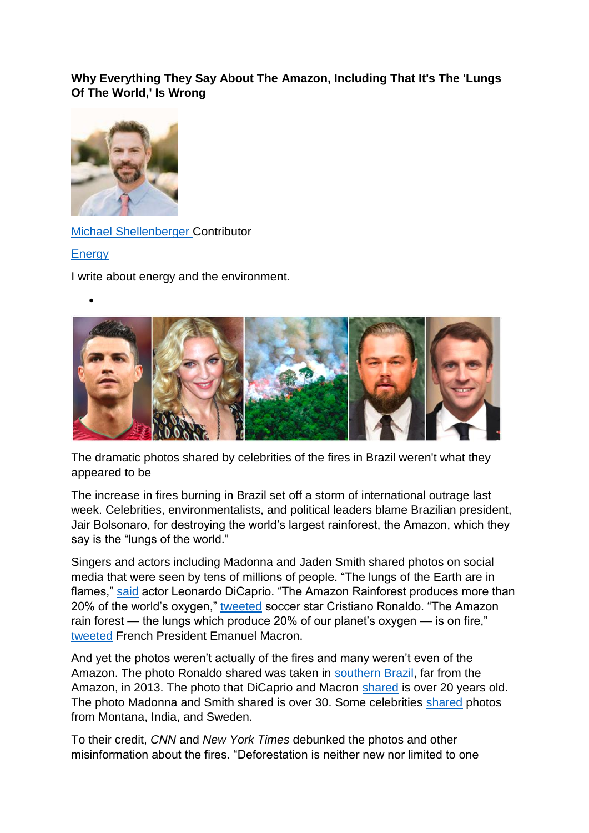**Why Everything They Say About The Amazon, Including That It's The 'Lungs Of The World,' Is Wrong**



[Michael Shellenberger C](https://www.forbes.com/sites/michaelshellenberger/)ontributor

## **Energy**

 $\bullet$ 

I write about energy and the environment.



The dramatic photos shared by celebrities of the fires in Brazil weren't what they appeared to be

The increase in fires burning in Brazil set off a storm of international outrage last week. Celebrities, environmentalists, and political leaders blame Brazilian president, Jair Bolsonaro, for destroying the world's largest rainforest, the Amazon, which they say is the "lungs of the world."

Singers and actors including Madonna and Jaden Smith shared photos on social media that were seen by tens of millions of people. "The lungs of the Earth are in flames," [said](https://www.instagram.com/p/B1eBsWDlfF1/?utm_source=ig_web_copy_link) actor Leonardo DiCaprio. "The Amazon Rainforest produces more than 20% of the world's oxygen," [tweeted](https://twitter.com/Cristiano/status/1164588606436106240?s=20) soccer star Cristiano Ronaldo. "The Amazon rain forest — the lungs which produce 20% of our planet's oxygen — is on fire," [tweeted](https://twitter.com/EmmanuelMacron/status/1164617008962527232?s=20) French President Emanuel Macron.

And yet the photos weren't actually of the fires and many weren't even of the Amazon. The photo Ronaldo shared was taken in [southern Brazil,](http://darkroom.baltimoresun.com/2013/03/march-28-photo-brief-pope-francis-prays-for-good-friday-german-beaches-get-snow-for-easter-north-korea-takes-aim-for-america/topshots-brazil-fire-taim/) far from the Amazon, in 2013. The photo that DiCaprio and Macron [shared](https://www.nytimes.com/2019/08/23/world/americas/amazon-rainforest-fire-photos.html) is over 20 years old. The photo Madonna and Smith shared is over 30. Some celebrities [shared](https://www.cnn.com/2019/08/22/us/debunk-amazon-photos-trnd/index.html) photos from Montana, India, and Sweden.

To their credit, *CNN* and *New York Times* debunked the photos and other misinformation about the fires. "Deforestation is neither new nor limited to one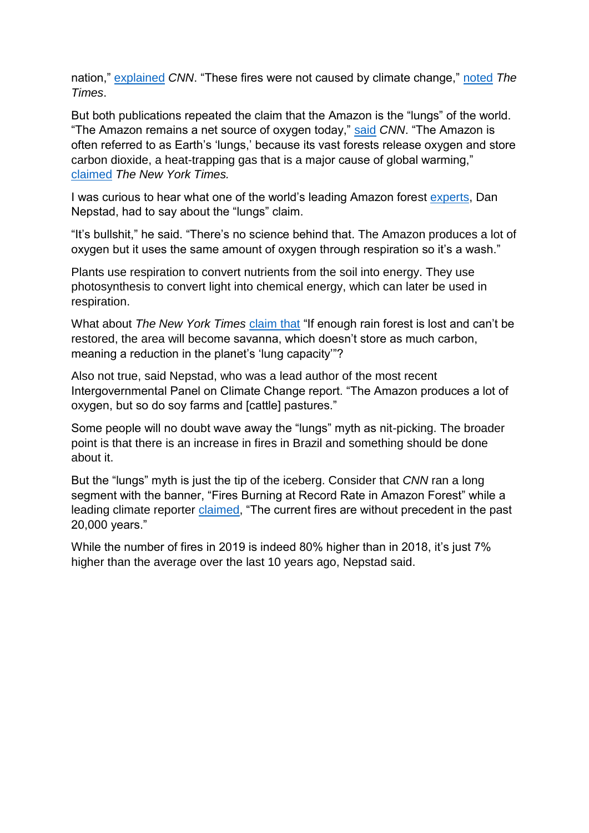nation," [explained](https://www.cnn.com/2019/08/23/americas/amazon-wildfires-411/index.html) *CNN*. "These fires were not caused by climate change," [noted](https://www.nytimes.com/2019/08/23/world/americas/amazon-fire-brazil-bolsonaro.html) *The Times*.

But both publications repeated the claim that the Amazon is the "lungs" of the world. "The Amazon remains a net source of oxygen today," [said](https://www.cnn.com/2019/08/23/americas/amazon-wildfires-411/index.html) *CNN*. "The Amazon is often referred to as Earth's 'lungs,' because its vast forests release oxygen and store carbon dioxide, a heat-trapping gas that is a major cause of global warming," [claimed](https://www.nytimes.com/2019/08/23/world/americas/amazon-fire-brazil-bolsonaro.html) *The New York Times.*

I was curious to hear what one of the world's leading Amazon forest [experts,](http://environmentalprogress.org/big-news/2019/8/29/an-interview-with-founder-of-earth-innovation-dan-nepstad) Dan Nepstad, had to say about the "lungs" claim.

"It's bullshit," he said. "There's no science behind that. The Amazon produces a lot of oxygen but it uses the same amount of oxygen through respiration so it's a wash."

Plants use respiration to convert nutrients from the soil into energy. They use photosynthesis to convert light into chemical energy, which can later be used in respiration.

What about *The New York Times* [claim that](https://www.nytimes.com/2019/08/23/world/americas/amazon-fire-brazil-bolsonaro.html) "If enough rain forest is lost and can't be restored, the area will become savanna, which doesn't store as much carbon, meaning a reduction in the planet's 'lung capacity'"?

Also not true, said Nepstad, who was a lead author of the most recent Intergovernmental Panel on Climate Change report. "The Amazon produces a lot of oxygen, but so do soy farms and [cattle] pastures."

Some people will no doubt wave away the "lungs" myth as nit-picking. The broader point is that there is an increase in fires in Brazil and something should be done about it.

But the "lungs" myth is just the tip of the iceberg. Consider that *CNN* ran a long segment with the banner, "Fires Burning at Record Rate in Amazon Forest" while a leading climate reporter [claimed,](https://twitter.com/EricHolthaus/status/1164652546847399937?s=20) "The current fires are without precedent in the past 20,000 years."

While the number of fires in 2019 is indeed 80% higher than in 2018, it's just 7% higher than the average over the last 10 years ago, Nepstad said.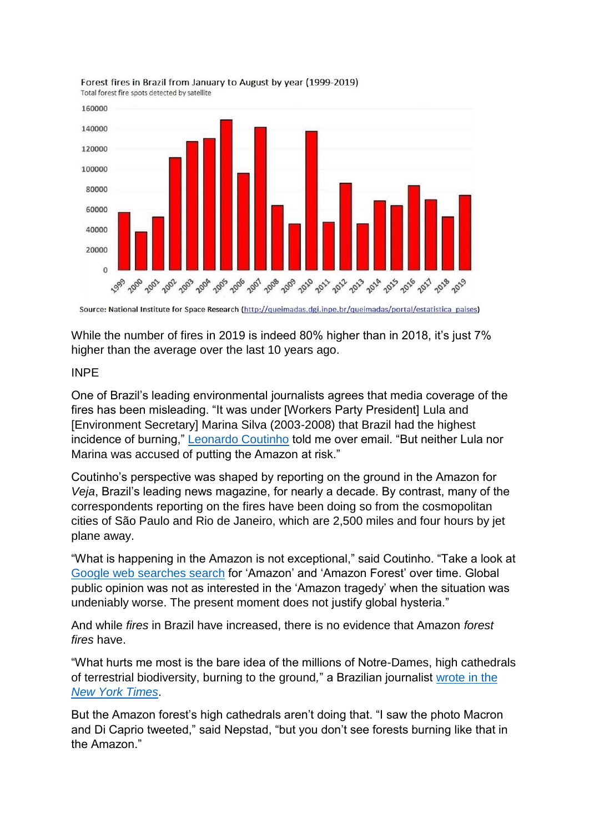

Forest fires in Brazil from January to August by year (1999-2019) Total forest fire spots detected by satellite

Source: National Institute for Space Research (http://queimadas.dgi.inpe.br/queimadas/portal/estatistica\_paises)

While the number of fires in 2019 is indeed 80% higher than in 2018, it's just 7% higher than the average over the last 10 years ago.

## INPE

One of Brazil's leading environmental journalists agrees that media coverage of the fires has been misleading. "It was under [Workers Party President] Lula and [Environment Secretary] Marina Silva (2003-2008) that Brazil had the highest incidence of burning," [Leonardo Coutinho](https://twitter.com/lcoutinho?lang=en) told me over email. "But neither Lula nor Marina was accused of putting the Amazon at risk."

Coutinho's perspective was shaped by reporting on the ground in the Amazon for *Veja*, Brazil's leading news magazine, for nearly a decade. By contrast, many of the correspondents reporting on the fires have been doing so from the cosmopolitan cities of São Paulo and Rio de Janeiro, which are 2,500 miles and four hours by jet plane away.

"What is happening in the Amazon is not exceptional," said Coutinho. "Take a look at [Google web searches search](https://trends.google.com/trends/explore?date=all&q=Amazonia,Amazon%20forest) for 'Amazon' and 'Amazon Forest' over time. Global public opinion was not as interested in the 'Amazon tragedy' when the situation was undeniably worse. The present moment does not justify global hysteria."

And while *fires* in Brazil have increased, there is no evidence that Amazon *forest fires* have.

"What hurts me most is the bare idea of the millions of Notre-Dames, high cathedrals of terrestrial biodiversity, burning to the ground*,*" a Brazilian journalist [wrote in the](https://www.nytimes.com/2019/08/24/opinion/sunday/amazon-fire.html)  *[New York Times](https://www.nytimes.com/2019/08/24/opinion/sunday/amazon-fire.html)*.

But the Amazon forest's high cathedrals aren't doing that. "I saw the photo Macron and Di Caprio tweeted," said Nepstad, "but you don't see forests burning like that in the Amazon."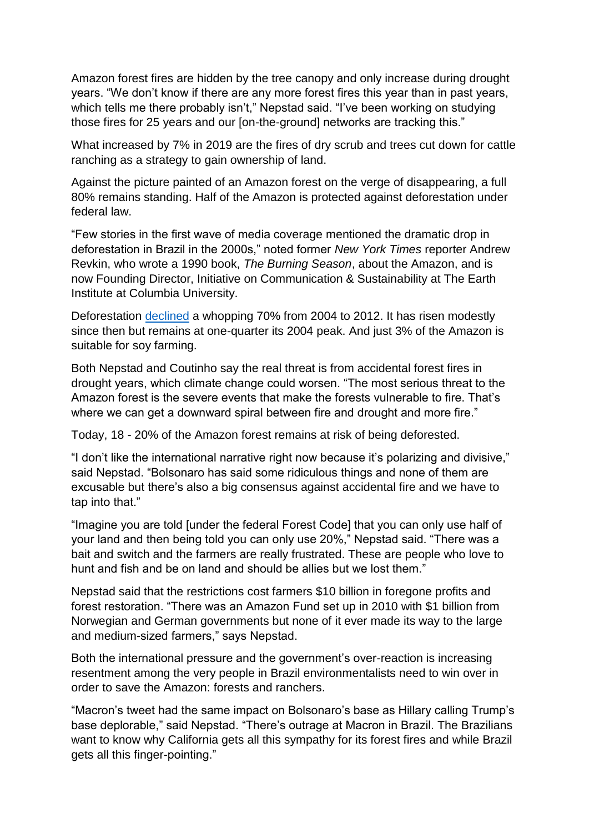Amazon forest fires are hidden by the tree canopy and only increase during drought years. "We don't know if there are any more forest fires this year than in past years, which tells me there probably isn't," Nepstad said. "I've been working on studying those fires for 25 years and our [on-the-ground] networks are tracking this."

What increased by 7% in 2019 are the fires of dry scrub and trees cut down for cattle ranching as a strategy to gain ownership of land.

Against the picture painted of an Amazon forest on the verge of disappearing, a full 80% remains standing. Half of the Amazon is protected against deforestation under federal law.

"Few stories in the first wave of media coverage mentioned the dramatic drop in deforestation in Brazil in the 2000s," noted former *New York Times* reporter Andrew Revkin, who wrote a 1990 book, *The Burning Season*, about the Amazon, and is now Founding Director, Initiative on Communication & Sustainability at The Earth Institute at Columbia University.

Deforestation [declined](https://science.sciencemag.org/content/344/6188/1118) a whopping 70% from 2004 to 2012. It has risen modestly since then but remains at one-quarter its 2004 peak. And just 3% of the Amazon is suitable for soy farming.

Both Nepstad and Coutinho say the real threat is from accidental forest fires in drought years, which climate change could worsen. "The most serious threat to the Amazon forest is the severe events that make the forests vulnerable to fire. That's where we can get a downward spiral between fire and drought and more fire."

Today, 18 - 20% of the Amazon forest remains at risk of being deforested.

"I don't like the international narrative right now because it's polarizing and divisive," said Nepstad. "Bolsonaro has said some ridiculous things and none of them are excusable but there's also a big consensus against accidental fire and we have to tap into that."

"Imagine you are told [under the federal Forest Code] that you can only use half of your land and then being told you can only use 20%," Nepstad said. "There was a bait and switch and the farmers are really frustrated. These are people who love to hunt and fish and be on land and should be allies but we lost them."

Nepstad said that the restrictions cost farmers \$10 billion in foregone profits and forest restoration. "There was an Amazon Fund set up in 2010 with \$1 billion from Norwegian and German governments but none of it ever made its way to the large and medium-sized farmers," says Nepstad.

Both the international pressure and the government's over-reaction is increasing resentment among the very people in Brazil environmentalists need to win over in order to save the Amazon: forests and ranchers.

"Macron's tweet had the same impact on Bolsonaro's base as Hillary calling Trump's base deplorable," said Nepstad. "There's outrage at Macron in Brazil. The Brazilians want to know why California gets all this sympathy for its forest fires and while Brazil gets all this finger-pointing."